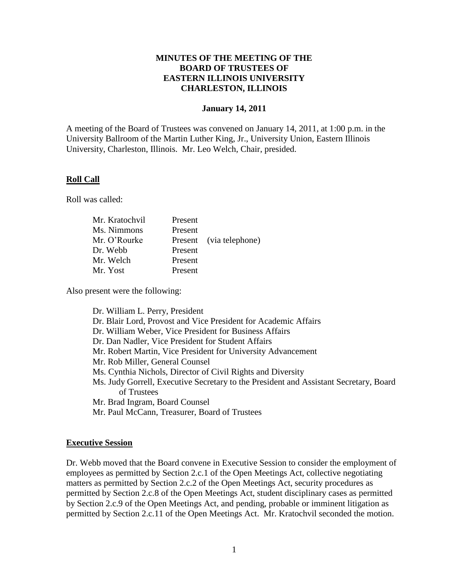## **MINUTES OF THE MEETING OF THE BOARD OF TRUSTEES OF EASTERN ILLINOIS UNIVERSITY CHARLESTON, ILLINOIS**

### **January 14, 2011**

A meeting of the Board of Trustees was convened on January 14, 2011, at 1:00 p.m. in the University Ballroom of the Martin Luther King, Jr., University Union, Eastern Illinois University, Charleston, Illinois. Mr. Leo Welch, Chair, presided.

### **Roll Call**

Roll was called:

| Present |                         |
|---------|-------------------------|
| Present |                         |
|         | Present (via telephone) |
| Present |                         |
| Present |                         |
| Present |                         |
|         |                         |

Also present were the following:

Dr. William L. Perry, President Dr. Blair Lord, Provost and Vice President for Academic Affairs Dr. William Weber, Vice President for Business Affairs Dr. Dan Nadler, Vice President for Student Affairs Mr. Robert Martin, Vice President for University Advancement Mr. Rob Miller, General Counsel Ms. Cynthia Nichols, Director of Civil Rights and Diversity Ms. Judy Gorrell, Executive Secretary to the President and Assistant Secretary, Board of Trustees Mr. Brad Ingram, Board Counsel Mr. Paul McCann, Treasurer, Board of Trustees

#### **Executive Session**

Dr. Webb moved that the Board convene in Executive Session to consider the employment of employees as permitted by Section 2.c.1 of the Open Meetings Act, collective negotiating matters as permitted by Section 2.c.2 of the Open Meetings Act, security procedures as permitted by Section 2.c.8 of the Open Meetings Act, student disciplinary cases as permitted by Section 2.c.9 of the Open Meetings Act, and pending, probable or imminent litigation as permitted by Section 2.c.11 of the Open Meetings Act. Mr. Kratochvil seconded the motion.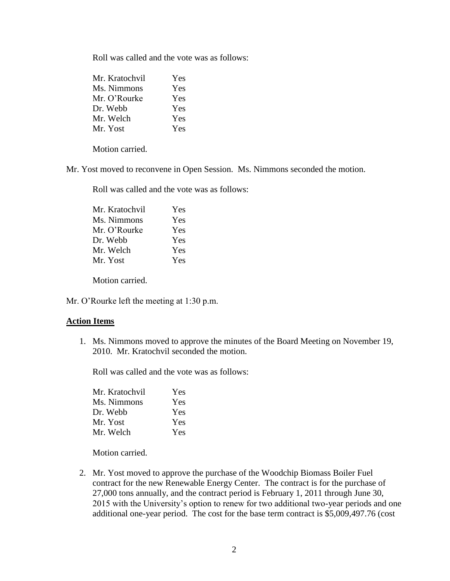Roll was called and the vote was as follows:

| Mr. Kratochvil | <b>Yes</b> |
|----------------|------------|
| Ms. Nimmons    | Yes        |
| Mr. O'Rourke   | <b>Yes</b> |
| Dr. Webb       | <b>Yes</b> |
| Mr. Welch      | Yes        |
| Mr. Yost       | Yes        |

Motion carried.

Mr. Yost moved to reconvene in Open Session. Ms. Nimmons seconded the motion.

Roll was called and the vote was as follows:

| Mr. Kratochvil | Yes        |
|----------------|------------|
| Ms. Nimmons    | <b>Yes</b> |
| Mr. O'Rourke   | Yes        |
| Dr. Webb       | Yes        |
| Mr. Welch      | Yes        |
| Mr. Yost       | <b>Yes</b> |

Motion carried.

Mr. O'Rourke left the meeting at 1:30 p.m.

### **Action Items**

1. Ms. Nimmons moved to approve the minutes of the Board Meeting on November 19, 2010. Mr. Kratochvil seconded the motion.

Roll was called and the vote was as follows:

| Mr. Kratochvil | <b>Yes</b> |
|----------------|------------|
| Ms. Nimmons    | Yes        |
| Dr. Webb       | <b>Yes</b> |
| Mr. Yost       | <b>Yes</b> |
| Mr. Welch      | Yes.       |

Motion carried.

2. Mr. Yost moved to approve the purchase of the Woodchip Biomass Boiler Fuel contract for the new Renewable Energy Center. The contract is for the purchase of 27,000 tons annually, and the contract period is February 1, 2011 through June 30, 2015 with the University's option to renew for two additional two-year periods and one additional one-year period. The cost for the base term contract is \$5,009,497.76 (cost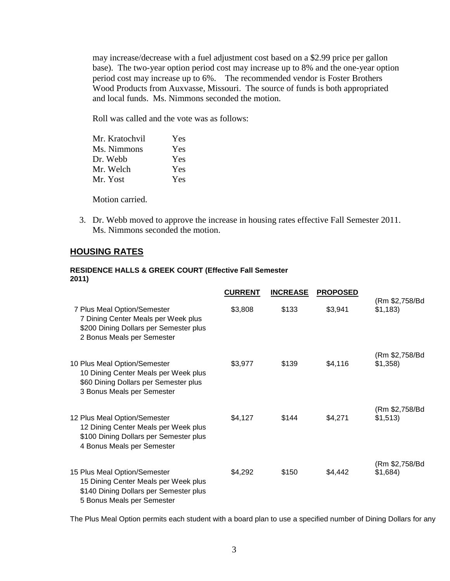may increase/decrease with a fuel adjustment cost based on a \$2.99 price per gallon base). The two-year option period cost may increase up to 8% and the one-year option period cost may increase up to 6%. The recommended vendor is Foster Brothers Wood Products from Auxvasse, Missouri. The source of funds is both appropriated and local funds. Ms. Nimmons seconded the motion.

Roll was called and the vote was as follows:

| Mr. Kratochvil | Yes |
|----------------|-----|
| Ms. Nimmons    | Yes |
| Dr. Webb       | Yes |
| Mr. Welch      | Yes |
| Mr. Yost       | Yes |

Motion carried.

3. Dr. Webb moved to approve the increase in housing rates effective Fall Semester 2011. Ms. Nimmons seconded the motion.

## **HOUSING RATES**

### **RESIDENCE HALLS & GREEK COURT (Effective Fall Semester 2011)**

|                                                                                                                                              | <b>CURRENT</b> | <b>INCREASE</b> | <b>PROPOSED</b> |                              |
|----------------------------------------------------------------------------------------------------------------------------------------------|----------------|-----------------|-----------------|------------------------------|
| 7 Plus Meal Option/Semester<br>7 Dining Center Meals per Week plus<br>\$200 Dining Dollars per Semester plus<br>2 Bonus Meals per Semester   | \$3,808        | \$133           | \$3,941         | (Rm \$2,758/Bd<br>\$1,183    |
| 10 Plus Meal Option/Semester<br>10 Dining Center Meals per Week plus<br>\$60 Dining Dollars per Semester plus<br>3 Bonus Meals per Semester  | \$3,977        | \$139           | \$4,116         | (Rm \$2,758/Bd<br>\$1,358    |
| 12 Plus Meal Option/Semester<br>12 Dining Center Meals per Week plus<br>\$100 Dining Dollars per Semester plus<br>4 Bonus Meals per Semester | \$4,127        | \$144           | \$4,271         | (Rm \$2,758/Bd<br>\$1,513)   |
| 15 Plus Meal Option/Semester<br>15 Dining Center Meals per Week plus<br>\$140 Dining Dollars per Semester plus<br>5 Bonus Meals per Semester | \$4,292        | \$150           | \$4,442         | (Rm \$2,758/Bd<br>$$1,684$ ) |

The Plus Meal Option permits each student with a board plan to use a specified number of Dining Dollars for any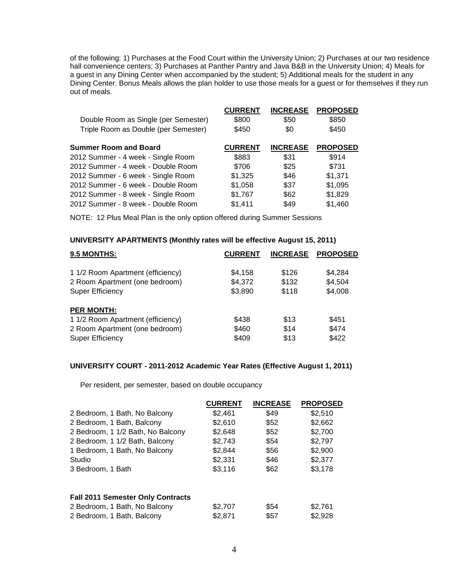of the following: 1) Purchases at the Food Court within the University Union; 2) Purchases at our two residence hall convenience centers; 3) Purchases at Panther Pantry and Java B&B in the University Union; 4) Meals for a guest in any Dining Center when accompanied by the student; 5) Additional meals for the student in any Dining Center. Bonus Meals allows the plan holder to use those meals for a guest or for themselves if they run out of meals.

| Double Room as Single (per Semester)<br>Triple Room as Double (per Semester) | <b>CURRENT</b><br>\$800<br>\$450 | <b>INCREASE</b><br>\$50<br>\$0 | <b>PROPOSED</b><br>\$850<br>\$450 |
|------------------------------------------------------------------------------|----------------------------------|--------------------------------|-----------------------------------|
| <b>Summer Room and Board</b>                                                 | <b>CURRENT</b>                   | <b>INCREASE</b>                | <b>PROPOSED</b>                   |
| 2012 Summer - 4 week - Single Room                                           | \$883                            | \$31                           | \$914                             |
| 2012 Summer - 4 week - Double Room                                           | \$706                            | \$25                           | \$731                             |
| 2012 Summer - 6 week - Single Room                                           | \$1,325                          | \$46                           | \$1,371                           |
| 2012 Summer - 6 week - Double Room                                           | \$1,058                          | \$37                           | \$1,095                           |
| 2012 Summer - 8 week - Single Room                                           | \$1,767                          | \$62                           | \$1,829                           |
| 2012 Summer - 8 week - Double Room                                           | \$1,411                          | \$49                           | \$1,460                           |

NOTE: 12 Plus Meal Plan is the only option offered during Summer Sessions

#### **UNIVERSITY APARTMENTS (Monthly rates will be effective August 15, 2011)**

| <b>CURRENT</b> | <b>INCREASE</b> | <b>PROPOSED</b> |
|----------------|-----------------|-----------------|
|                |                 |                 |
|                |                 | \$4.284         |
| \$4,372        | \$132           | \$4,504         |
| \$3,890        | \$118           | \$4,008         |
|                |                 |                 |
| \$438          | \$13            | \$451           |
| \$460          | \$14            | \$474           |
| \$409          | \$13            | \$422           |
|                | \$4,158         | \$126           |

#### **UNIVERSITY COURT - 2011-2012 Academic Year Rates (Effective August 1, 2011)**

Per resident, per semester, based on double occupancy

|                                          | <b>CURRENT</b> | <b>INCREASE</b> | <b>PROPOSED</b> |
|------------------------------------------|----------------|-----------------|-----------------|
| 2 Bedroom, 1 Bath, No Balcony            | \$2,461        | \$49            | \$2,510         |
| 2 Bedroom, 1 Bath, Balcony               | \$2,610        | \$52            | \$2,662         |
| 2 Bedroom, 1 1/2 Bath, No Balcony        | \$2,648        | \$52            | \$2,700         |
| 2 Bedroom, 1 1/2 Bath, Balcony           | \$2,743        | \$54            | \$2,797         |
| 1 Bedroom, 1 Bath, No Balcony            | \$2.844        | \$56            | \$2,900         |
| Studio                                   | \$2,331        | \$46            | \$2,377         |
| 3 Bedroom, 1 Bath                        | \$3,116        | \$62            | \$3,178         |
| <b>Fall 2011 Semester Only Contracts</b> |                |                 |                 |
| 2 Bedroom, 1 Bath, No Balcony            | \$2.707        | \$54            | \$2.761         |
| 2 Bedroom, 1 Bath, Balcony               | \$2.871        | \$57            | \$2.928         |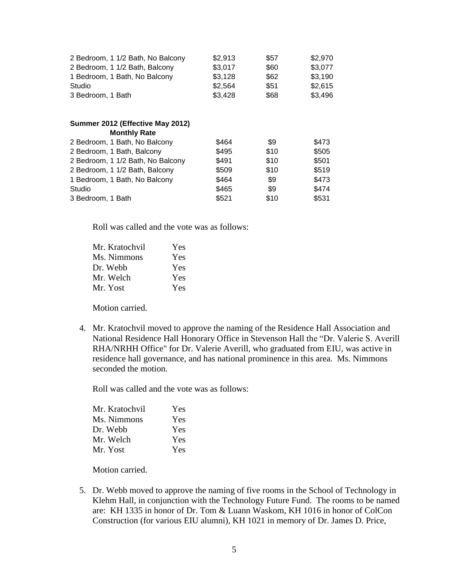| 2 Bedroom, 1 1/2 Bath, No Balcony | \$2,913 | \$57 | \$2,970 |
|-----------------------------------|---------|------|---------|
| 2 Bedroom, 1 1/2 Bath, Balcony    | \$3,017 | \$60 | \$3,077 |
| 1 Bedroom, 1 Bath, No Balcony     | \$3,128 | \$62 | \$3,190 |
| Studio                            | \$2,564 | \$51 | \$2,615 |
| 3 Bedroom, 1 Bath                 | \$3,428 | \$68 | \$3,496 |
|                                   |         |      |         |
| Summer 2012 (Effective May 2012)  |         |      |         |
| <b>Monthly Rate</b>               |         |      |         |
| 2 Bedroom, 1 Bath, No Balcony     | \$464   | \$9  | \$473   |
| 2 Bedroom, 1 Bath, Balcony        | \$495   | \$10 | \$505   |
| 2 Bedroom, 1 1/2 Bath, No Balcony | \$491   | \$10 | \$501   |
| 2 Bedroom, 1 1/2 Bath, Balcony    | \$509   | \$10 | \$519   |
| 1 Bedroom, 1 Bath, No Balcony     | \$464   | \$9  | \$473   |
| Studio                            | \$465   | \$9  | \$474   |
| 3 Bedroom, 1 Bath                 | \$521   | \$10 | \$531   |

Roll was called and the vote was as follows:

| Mr. Kratochvil | Yes |
|----------------|-----|
| Ms. Nimmons    | Yes |
| Dr. Webb       | Yes |
| Mr. Welch      | Yes |
| Mr. Yost       | Yes |

Motion carried.

4. Mr. Kratochvil moved to approve the naming of the Residence Hall Association and National Residence Hall Honorary Office in Stevenson Hall the "Dr. Valerie S. Averill RHA/NRHH Office" for Dr. Valerie Averill, who graduated from EIU, was active in residence hall governance, and has national prominence in this area. Ms. Nimmons seconded the motion.

Roll was called and the vote was as follows:

| Mr. Kratochvil | Yes |
|----------------|-----|
| Ms. Nimmons    | Yes |
| Dr. Webb       | Yes |
| Mr. Welch      | Yes |
| Mr. Yost       | Yes |

Motion carried.

5. Dr. Webb moved to approve the naming of five rooms in the School of Technology in Klehm Hall, in conjunction with the Technology Future Fund. The rooms to be named are: KH 1335 in honor of Dr. Tom & Luann Waskom, KH 1016 in honor of ColCon Construction (for various EIU alumni), KH 1021 in memory of Dr. James D. Price,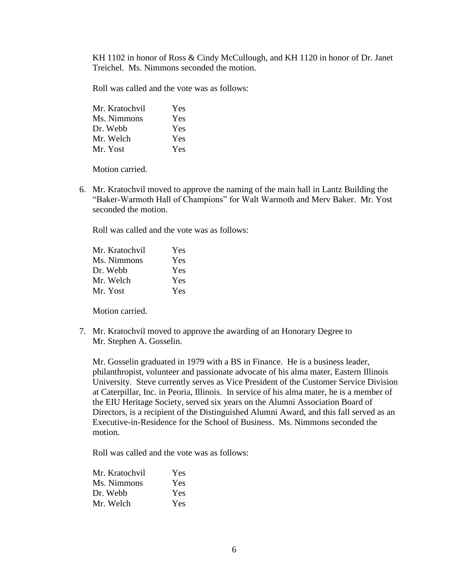KH 1102 in honor of Ross & Cindy McCullough, and KH 1120 in honor of Dr. Janet Treichel. Ms. Nimmons seconded the motion.

Roll was called and the vote was as follows:

| Mr. Kratochvil | Yes        |
|----------------|------------|
| Ms. Nimmons    | Yes        |
| Dr. Webb       | Yes        |
| Mr. Welch      | Yes        |
| Mr. Yost       | <b>Yes</b> |

Motion carried.

6. Mr. Kratochvil moved to approve the naming of the main hall in Lantz Building the "Baker-Warmoth Hall of Champions" for Walt Warmoth and Merv Baker. Mr. Yost seconded the motion.

Roll was called and the vote was as follows:

| Mr. Kratochvil | Yes        |
|----------------|------------|
| Ms. Nimmons    | <b>Yes</b> |
| Dr. Webb       | <b>Yes</b> |
| Mr. Welch      | <b>Yes</b> |
| Mr. Yost       | <b>Yes</b> |

Motion carried.

7. Mr. Kratochvil moved to approve the awarding of an Honorary Degree to Mr. Stephen A. Gosselin.

Mr. Gosselin graduated in 1979 with a BS in Finance. He is a business leader, philanthropist, volunteer and passionate advocate of his alma mater, Eastern Illinois University. Steve currently serves as Vice President of the Customer Service Division at Caterpillar, Inc. in Peoria, Illinois. In service of his alma mater, he is a member of the EIU Heritage Society, served six years on the Alumni Association Board of Directors, is a recipient of the Distinguished Alumni Award, and this fall served as an Executive-in-Residence for the School of Business. Ms. Nimmons seconded the motion.

Roll was called and the vote was as follows:

| Mr. Kratochvil | <b>Yes</b> |
|----------------|------------|
| Ms. Nimmons    | Yes        |
| Dr. Webb       | Yes        |
| Mr. Welch      | Yes        |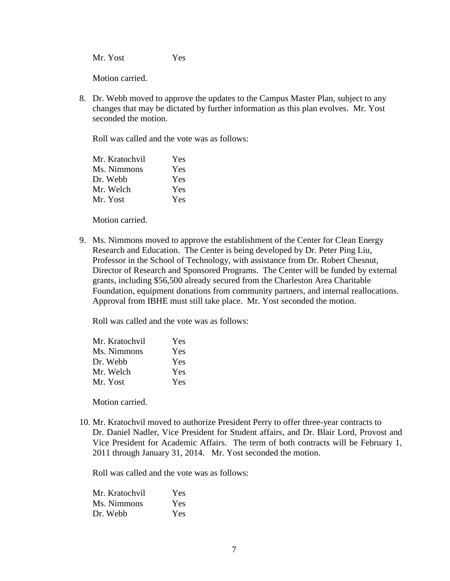Mr. Yost Yes

Motion carried.

8. Dr. Webb moved to approve the updates to the Campus Master Plan, subject to any changes that may be dictated by further information as this plan evolves. Mr. Yost seconded the motion.

Roll was called and the vote was as follows:

| Mr. Kratochvil | <b>Yes</b> |
|----------------|------------|
| Ms. Nimmons    | <b>Yes</b> |
| Dr. Webb       | <b>Yes</b> |
| Mr. Welch      | <b>Yes</b> |
| Mr. Yost       | <b>Yes</b> |

Motion carried.

9. Ms. Nimmons moved to approve the establishment of the Center for Clean Energy Research and Education. The Center is being developed by Dr. Peter Ping Liu, Professor in the School of Technology, with assistance from Dr. Robert Chesnut, Director of Research and Sponsored Programs. The Center will be funded by external grants, including \$56,500 already secured from the Charleston Area Charitable Foundation, equipment donations from community partners, and internal reallocations. Approval from IBHE must still take place. Mr. Yost seconded the motion.

Roll was called and the vote was as follows:

| Mr. Kratochvil | Yes        |
|----------------|------------|
| Ms. Nimmons    | <b>Yes</b> |
| Dr. Webb       | <b>Yes</b> |
| Mr. Welch      | Yes        |
| Mr. Yost       | Yes.       |

Motion carried.

10. Mr. Kratochvil moved to authorize President Perry to offer three-year contracts to Dr. Daniel Nadler, Vice President for Student affairs, and Dr. Blair Lord, Provost and Vice President for Academic Affairs. The term of both contracts will be February 1, 2011 through January 31, 2014. Mr. Yost seconded the motion.

Roll was called and the vote was as follows:

| Mr. Kratochvil | Yes |
|----------------|-----|
| Ms. Nimmons    | Yes |
| Dr. Webb       | Yes |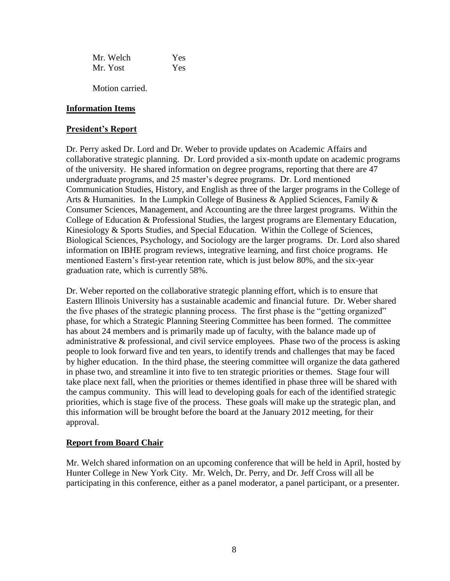Mr. Welch Yes Mr. Yost Yes

Motion carried.

## **Information Items**

## **President's Report**

Dr. Perry asked Dr. Lord and Dr. Weber to provide updates on Academic Affairs and collaborative strategic planning. Dr. Lord provided a six-month update on academic programs of the university. He shared information on degree programs, reporting that there are 47 undergraduate programs, and 25 master's degree programs. Dr. Lord mentioned Communication Studies, History, and English as three of the larger programs in the College of Arts & Humanities. In the Lumpkin College of Business & Applied Sciences, Family & Consumer Sciences, Management, and Accounting are the three largest programs. Within the College of Education & Professional Studies, the largest programs are Elementary Education, Kinesiology & Sports Studies, and Special Education. Within the College of Sciences, Biological Sciences, Psychology, and Sociology are the larger programs. Dr. Lord also shared information on IBHE program reviews, integrative learning, and first choice programs. He mentioned Eastern's first-year retention rate, which is just below 80%, and the six-year graduation rate, which is currently 58%.

Dr. Weber reported on the collaborative strategic planning effort, which is to ensure that Eastern Illinois University has a sustainable academic and financial future. Dr. Weber shared the five phases of the strategic planning process. The first phase is the "getting organized" phase, for which a Strategic Planning Steering Committee has been formed. The committee has about 24 members and is primarily made up of faculty, with the balance made up of administrative & professional, and civil service employees. Phase two of the process is asking people to look forward five and ten years, to identify trends and challenges that may be faced by higher education. In the third phase, the steering committee will organize the data gathered in phase two, and streamline it into five to ten strategic priorities or themes. Stage four will take place next fall, when the priorities or themes identified in phase three will be shared with the campus community. This will lead to developing goals for each of the identified strategic priorities, which is stage five of the process. These goals will make up the strategic plan, and this information will be brought before the board at the January 2012 meeting, for their approval.

# **Report from Board Chair**

Mr. Welch shared information on an upcoming conference that will be held in April, hosted by Hunter College in New York City. Mr. Welch, Dr. Perry, and Dr. Jeff Cross will all be participating in this conference, either as a panel moderator, a panel participant, or a presenter.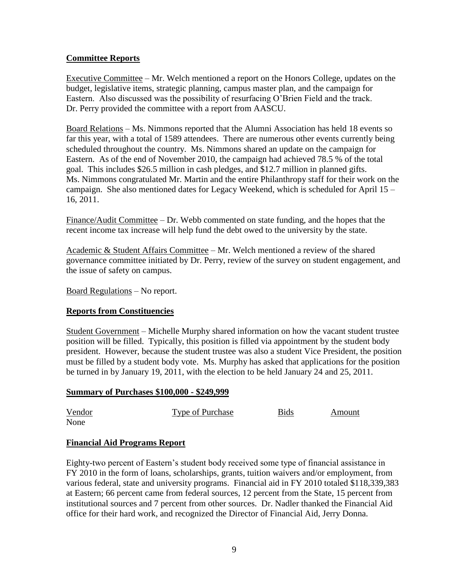# **Committee Reports**

Executive Committee – Mr. Welch mentioned a report on the Honors College, updates on the budget, legislative items, strategic planning, campus master plan, and the campaign for Eastern. Also discussed was the possibility of resurfacing O'Brien Field and the track. Dr. Perry provided the committee with a report from AASCU.

Board Relations – Ms. Nimmons reported that the Alumni Association has held 18 events so far this year, with a total of 1589 attendees. There are numerous other events currently being scheduled throughout the country. Ms. Nimmons shared an update on the campaign for Eastern. As of the end of November 2010, the campaign had achieved 78.5 % of the total goal. This includes \$26.5 million in cash pledges, and \$12.7 million in planned gifts. Ms. Nimmons congratulated Mr. Martin and the entire Philanthropy staff for their work on the campaign. She also mentioned dates for Legacy Weekend, which is scheduled for April 15 – 16, 2011.

Finance/Audit Committee – Dr. Webb commented on state funding, and the hopes that the recent income tax increase will help fund the debt owed to the university by the state.

Academic & Student Affairs Committee – Mr. Welch mentioned a review of the shared governance committee initiated by Dr. Perry, review of the survey on student engagement, and the issue of safety on campus.

Board Regulations – No report.

## **Reports from Constituencies**

Student Government – Michelle Murphy shared information on how the vacant student trustee position will be filled. Typically, this position is filled via appointment by the student body president. However, because the student trustee was also a student Vice President, the position must be filled by a student body vote. Ms. Murphy has asked that applications for the position be turned in by January 19, 2011, with the election to be held January 24 and 25, 2011.

### **Summary of Purchases \$100,000 - \$249,999**

| Vendor | <b>Type of Purchase</b> | <b>Bids</b> | Amount |
|--------|-------------------------|-------------|--------|
| None   |                         |             |        |

## **Financial Aid Programs Report**

Eighty-two percent of Eastern's student body received some type of financial assistance in FY 2010 in the form of loans, scholarships, grants, tuition waivers and/or employment, from various federal, state and university programs. Financial aid in FY 2010 totaled \$118,339,383 at Eastern; 66 percent came from federal sources, 12 percent from the State, 15 percent from institutional sources and 7 percent from other sources. Dr. Nadler thanked the Financial Aid office for their hard work, and recognized the Director of Financial Aid, Jerry Donna.